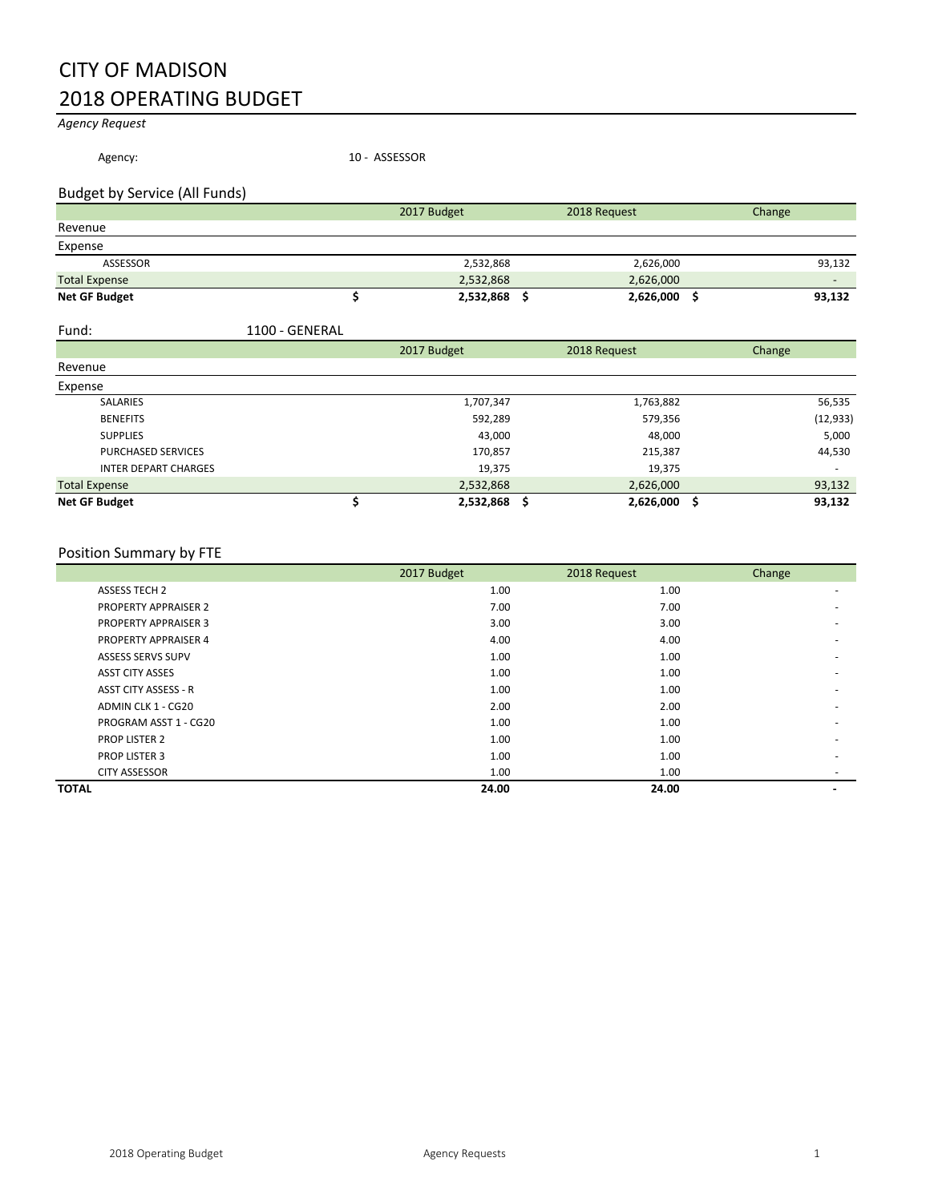# CITY OF MADISON 2018 OPERATING BUDGET

*Agency Request*

Agency: 10 - ASSESSOR

# Budget by Service (All Funds)

|                      | 2017 Budget | 2018 Request | Change |
|----------------------|-------------|--------------|--------|
| Revenue              |             |              |        |
| Expense              |             |              |        |
| ASSESSOR             | 2,532,868   | 2,626,000    | 93,132 |
| <b>Total Expense</b> | 2,532,868   | 2,626,000    |        |
| <b>Net GF Budget</b> | 2,532,868   | 2,626,000    | 93,132 |

| Fund: | 1100 - GENERAL |
|-------|----------------|
|       |                |

|                             | 2017 Budget | 2018 Request | Change |           |
|-----------------------------|-------------|--------------|--------|-----------|
| Revenue                     |             |              |        |           |
| Expense                     |             |              |        |           |
| <b>SALARIES</b>             | 1,707,347   | 1,763,882    |        | 56,535    |
| <b>BENEFITS</b>             | 592,289     | 579,356      |        | (12, 933) |
| <b>SUPPLIES</b>             | 43,000      | 48,000       |        | 5,000     |
| <b>PURCHASED SERVICES</b>   | 170,857     | 215,387      |        | 44,530    |
| <b>INTER DEPART CHARGES</b> | 19,375      | 19,375       |        |           |
| <b>Total Expense</b>        | 2,532,868   | 2,626,000    |        | 93,132    |
| <b>Net GF Budget</b>        | 2,532,868   | 2,626,000    | - S    | 93,132    |

## Position Summary by FTE

|                             | 2017 Budget | 2018 Request | Change                   |
|-----------------------------|-------------|--------------|--------------------------|
| <b>ASSESS TECH 2</b>        | 1.00        | 1.00         | ۰                        |
| <b>PROPERTY APPRAISER 2</b> | 7.00        | 7.00         |                          |
| <b>PROPERTY APPRAISER 3</b> | 3.00        | 3.00         | ۰                        |
| <b>PROPERTY APPRAISER 4</b> | 4.00        | 4.00         | ۰                        |
| <b>ASSESS SERVS SUPV</b>    | 1.00        | 1.00         | ۰                        |
| <b>ASST CITY ASSES</b>      | 1.00        | 1.00         | $\overline{\phantom{a}}$ |
| <b>ASST CITY ASSESS - R</b> | 1.00        | 1.00         | $\overline{\phantom{a}}$ |
| ADMIN CLK 1 - CG20          | 2.00        | 2.00         | ۰                        |
| PROGRAM ASST 1 - CG20       | 1.00        | 1.00         |                          |
| <b>PROP LISTER 2</b>        | 1.00        | 1.00         | $\overline{\phantom{a}}$ |
| PROP LISTER 3               | 1.00        | 1.00         | $\overline{\phantom{a}}$ |
| <b>CITY ASSESSOR</b>        | 1.00        | 1.00         | $\overline{\phantom{a}}$ |
| <b>TOTAL</b>                | 24.00       | 24.00        |                          |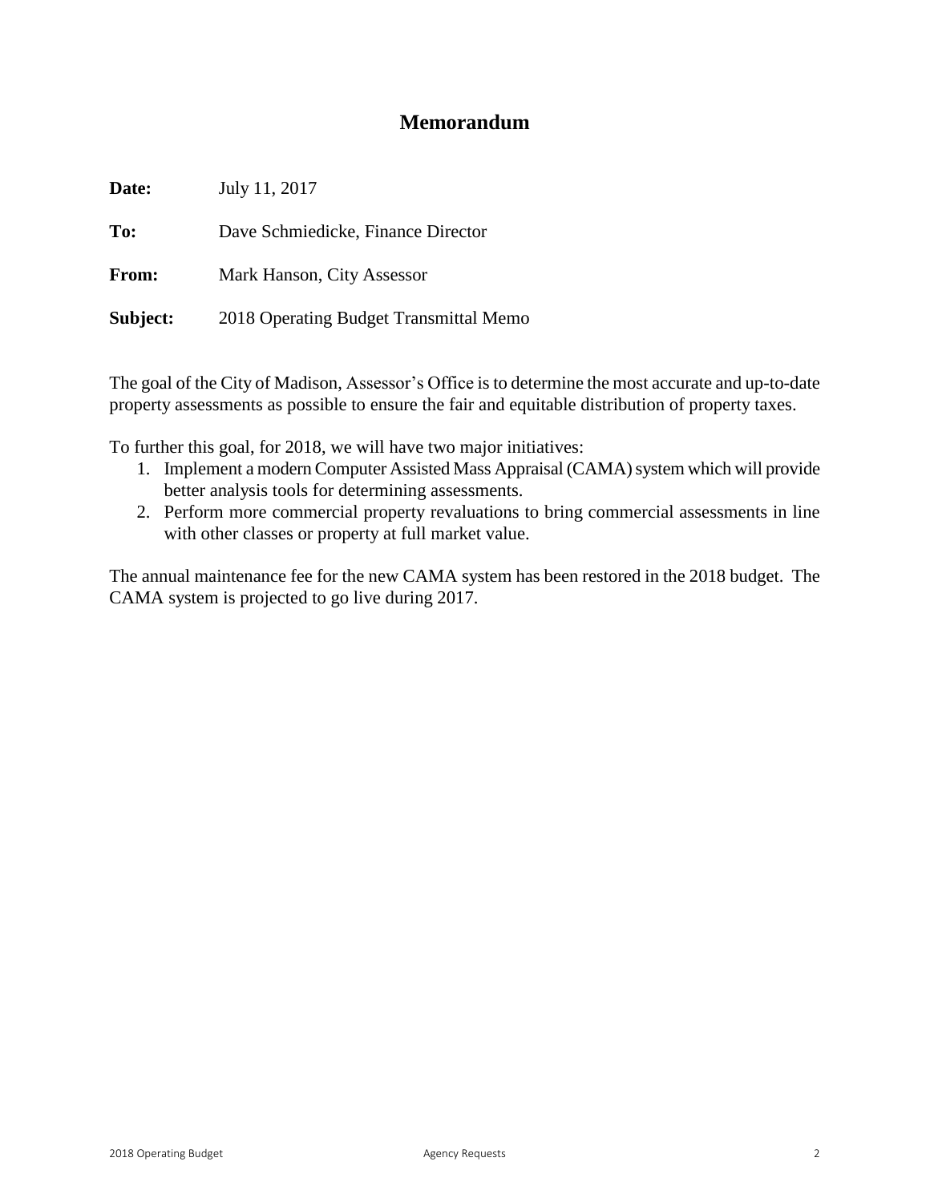# **Memorandum**

| Date:    | July 11, 2017                          |
|----------|----------------------------------------|
| To:      | Dave Schmiedicke, Finance Director     |
| From:    | Mark Hanson, City Assessor             |
| Subject: | 2018 Operating Budget Transmittal Memo |

The goal of the City of Madison, Assessor's Office is to determine the most accurate and up-to-date property assessments as possible to ensure the fair and equitable distribution of property taxes.

To further this goal, for 2018, we will have two major initiatives:

- 1. Implement a modern Computer Assisted Mass Appraisal (CAMA) system which will provide better analysis tools for determining assessments.
- 2. Perform more commercial property revaluations to bring commercial assessments in line with other classes or property at full market value.

The annual maintenance fee for the new CAMA system has been restored in the 2018 budget. The CAMA system is projected to go live during 2017.